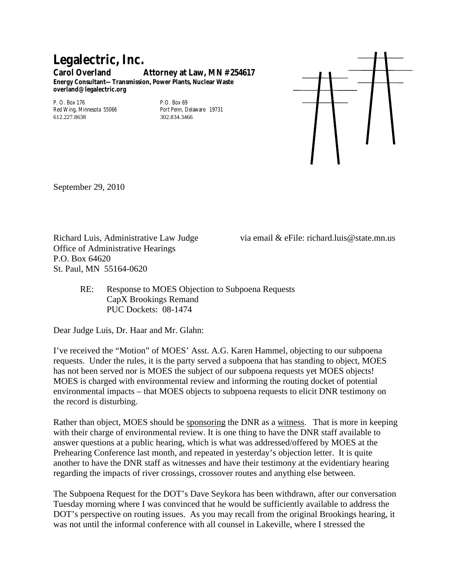## **Legalectric, Inc. Carol Overland Attorney at Law, MN #254617 Energy Consultant—Transmission, Power Plants, Nuclear Waste overland@legalectric.org**

P. O. Box 176<br>
Red Wing, Minnesota 55066 Port Penn, Delaware 19731 Red Wing, Minnesota 55066 Port Penn, Delay 12.227.8638 612.227.8638



September 29, 2010

Office of Administrative Hearings P.O. Box 64620 St. Paul, MN 55164-0620

Richard Luis, Administrative Law Judge via email & eFile: richard.luis@state.mn.us

RE: Response to MOES Objection to Subpoena Requests CapX Brookings Remand PUC Dockets: 08-1474

Dear Judge Luis, Dr. Haar and Mr. Glahn:

I've received the "Motion" of MOES' Asst. A.G. Karen Hammel, objecting to our subpoena requests. Under the rules, it is the party served a subpoena that has standing to object, MOES has not been served nor is MOES the subject of our subpoena requests yet MOES objects! MOES is charged with environmental review and informing the routing docket of potential environmental impacts – that MOES objects to subpoena requests to elicit DNR testimony on the record is disturbing.

Rather than object, MOES should be sponsoring the DNR as a witness. That is more in keeping with their charge of environmental review. It is one thing to have the DNR staff available to answer questions at a public hearing, which is what was addressed/offered by MOES at the Prehearing Conference last month, and repeated in yesterday's objection letter. It is quite another to have the DNR staff as witnesses and have their testimony at the evidentiary hearing regarding the impacts of river crossings, crossover routes and anything else between.

The Subpoena Request for the DOT's Dave Seykora has been withdrawn, after our conversation Tuesday morning where I was convinced that he would be sufficiently available to address the DOT's perspective on routing issues. As you may recall from the original Brookings hearing, it was not until the informal conference with all counsel in Lakeville, where I stressed the